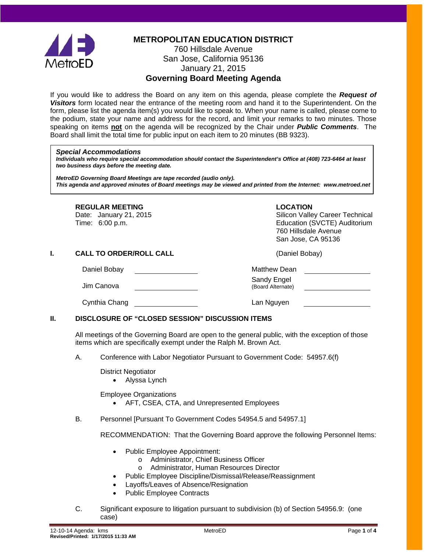

**METROPOLITAN EDUCATION DISTRICT**

# 760 Hillsdale Avenue San Jose, California 95136 January 21, 2015

**Governing Board Meeting Agenda**

If you would like to address the Board on any item on this agenda, please complete the *Request of Visitors* form located near the entrance of the meeting room and hand it to the Superintendent. On the form, please list the agenda item(s) you would like to speak to. When your name is called, please come to the podium, state your name and address for the record, and limit your remarks to two minutes. Those speaking on items **not** on the agenda will be recognized by the Chair under *Public Comments*. The Board shall limit the total time for public input on each item to 20 minutes (BB 9323).

#### *Special Accommodations*

*Individuals who require special accommodation should contact the Superintendent's Office at (408) 723-6464 at least two business days before the meeting date.*

*MetroED Governing Board Meetings are tape recorded (audio only). This agenda and approved minutes of Board meetings may be viewed and printed from the Internet: www.metroed.net*

#### **REGULAR MEETING LOCATION**

## Date: January 21, 2015 **Silicon Valley Career Technical**<br>Time: 6:00 p.m. Silicon Valley Career Technical Silicon Valley Career Technical Education (SVCTE) Auditorium 760 Hillsdale Avenue San Jose, CA 95136

**I. CALL TO ORDER/ROLL CALL CALL CALL** (Daniel Bobay)

Daniel Bobay **Matthew Dean** 

Jim Canova Sandy Engel

(Board Alternate)

Cynthia Chang **Lan Nguyen** Lan Nguyen

### **II. DISCLOSURE OF "CLOSED SESSION" DISCUSSION ITEMS**

All meetings of the Governing Board are open to the general public, with the exception of those items which are specifically exempt under the Ralph M. Brown Act.

A. Conference with Labor Negotiator Pursuant to Government Code: 54957.6(f)

District Negotiator

• Alyssa Lynch

Employee Organizations

- AFT, CSEA, CTA, and Unrepresented Employees
- B. Personnel [Pursuant To Government Codes 54954.5 and 54957.1]

RECOMMENDATION: That the Governing Board approve the following Personnel Items:

- Public Employee Appointment:
	- o Administrator, Chief Business Officer
	- o Administrator, Human Resources Director
- Public Employee Discipline/Dismissal/Release/Reassignment
- Layoffs/Leaves of Absence/Resignation
- Public Employee Contracts
- C. Significant exposure to litigation pursuant to subdivision (b) of Section 54956.9: (one case)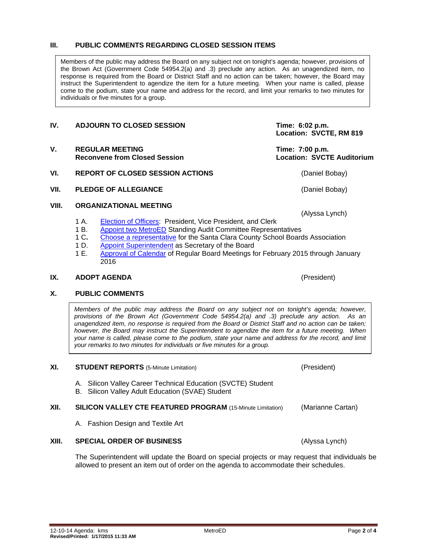## **III. PUBLIC COMMENTS REGARDING CLOSED SESSION ITEMS**

Members of the public may address the Board on any subject not on tonight's agenda; however, provisions of the Brown Act (Government Code 54954.2(a) and .3) preclude any action. As an unagendized item, no response is required from the Board or District Staff and no action can be taken; however, the Board may instruct the Superintendent to agendize the item for a future meeting. When your name is called, please come to the podium, state your name and address for the record, and limit your remarks to two minutes for individuals or five minutes for a group.

# **Location: SVCTE, RM 819** V. REGULAR MEETING<br>Reconvene from Closed Session<br>Reconvene from Closed Session<br>**Reconvene from Closed Session Reconvene from Closed Session VI. REPORT OF CLOSED SESSION ACTIONS** (Daniel Bobay) **VII. PLEDGE OF ALLEGIANCE** (Daniel Bobay) **VIII. ORGANIZATIONAL MEETING**

1 A. [Election of Officers:](http://fbsd.metroed.net/ksmith/Board_Agenda/01-21-15BoardAgenda/VIII-1A-D_Election-and-Appointment-of-Officers.pdf) President, Vice President, and Clerk<br>1 B. Appoint two MetroED Standing Audit Committee Represer [Appoint two MetroED](http://fbsd.metroed.net/ksmith/Board_Agenda/01-21-15BoardAgenda/VIII-1A-D_Election-and-Appointment-of-Officers.pdf) Standing Audit Committee Representatives

**IV. ADJOURN TO CLOSED SESSION Time: 6:02 p.m.** 

- 1 C. [Choose a representative](http://fbsd.metroed.net/ksmith/Board_Agenda/01-21-15BoardAgenda/VIII-1A-D_Election-and-Appointment-of-Officers.pdf) for the Santa Clara County School Boards Association<br>1 D. Appoint Superintendent as Secretary of the Board
- [Appoint Superintendent](http://fbsd.metroed.net/ksmith/Board_Agenda/01-21-15BoardAgenda/VIII-1A-D_Election-and-Appointment-of-Officers.pdf) as Secretary of the Board
- 1 E. [Approval of Calendar](http://fbsd.metroed.net/ksmith/Board_Agenda/01-21-15BoardAgenda/VIII-1E_Calendar-of-Regular-Board-Meetings-Feb2015-Jan2016.pdf) of Regular Board Meetings for February 2015 through January 2016

### **IX. ADOPT AGENDA** (President)

## **X. PUBLIC COMMENTS**

*Members of the public may address the Board on any subject not on tonight's agenda; however, provisions of the Brown Act (Government Code 54954.2(a) and .3) preclude any action. As an unagendized item, no response is required from the Board or District Staff and no action can be taken; however, the Board may instruct the Superintendent to agendize the item for a future meeting. When your name is called, please come to the podium, state your name and address for the record, and limit your remarks to two minutes for individuals or five minutes for a group.*

#### **XI. STUDENT REPORTS** (5-Minute Limitation) (President)

- A. Silicon Valley Career Technical Education (SVCTE) Student
- B. Silicon Valley Adult Education (SVAE) Student

## **XII. SILICON VALLEY CTE FEATURED PROGRAM** (15-Minute Limitation) (Marianne Cartan)

A. Fashion Design and Textile Art

### The Superintendent will update the Board on special projects or may request that individuals be allowed to present an item out of order on the agenda to accommodate their schedules.

# **XIII. SPECIAL ORDER OF BUSINESS** (Alyssa Lynch)

(Alyssa Lynch)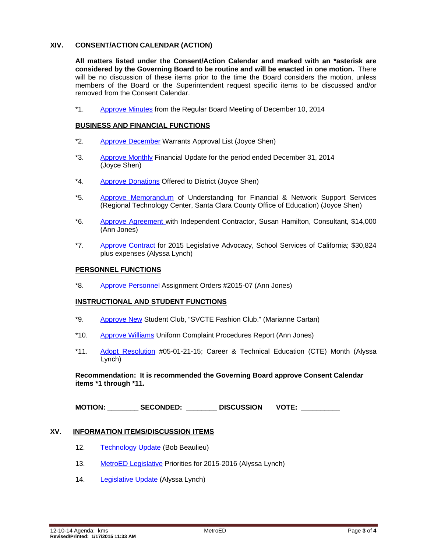### **XIV. CONSENT/ACTION CALENDAR (ACTION)**

**All matters listed under the Consent/Action Calendar and marked with an \*asterisk are considered by the Governing Board to be routine and will be enacted in one motion.** There will be no discussion of these items prior to the time the Board considers the motion, unless members of the Board or the Superintendent request specific items to be discussed and/or removed from the Consent Calendar.

\*1. [Approve Minutes](http://fbsd.metroed.net/ksmith/Board_Agenda/01-21-15BoardAgenda/Item-01_12-10-14BoardMinutes.pdf) from the Regular Board Meeting of December 10, 2014

#### **BUSINESS AND FINANCIAL FUNCTIONS**

- \*2. [Approve December](http://fbsd.metroed.net/ksmith/Board_Agenda/01-21-15BoardAgenda/Item-02.pdf) Warrants Approval List (Joyce Shen)
- \*3. [Approve Monthly](http://fbsd.metroed.net/ksmith/Board_Agenda/01-21-15BoardAgenda/Item-03.pdf) Financial Update for the period ended December 31, 2014 (Joyce Shen)
- \*4. [Approve Donations](http://fbsd.metroed.net/ksmith/Board_Agenda/01-21-15BoardAgenda/Item-04.pdf) Offered to District (Joyce Shen)
- \*5. [Approve Memorandum](http://fbsd.metroed.net/ksmith/Board_Agenda/01-21-15BoardAgenda/Item-05.pdf) of Understanding for Financial & Network Support Services (Regional Technology Center, Santa Clara County Office of Education) (Joyce Shen)
- \*6. [Approve Agreement w](http://fbsd.metroed.net/ksmith/Board_Agenda/01-21-15BoardAgenda/Item-06.pdf)ith Independent Contractor, Susan Hamilton, Consultant, \$14,000 (Ann Jones)
- \*7. [Approve Contract](http://fbsd.metroed.net/ksmith/Board_Agenda/01-21-15BoardAgenda/Item-07.pdf) for 2015 Legislative Advocacy, School Services of California; \$30,824 plus expenses (Alyssa Lynch)

#### **PERSONNEL FUNCTIONS**

\*8. [Approve Personnel](http://fbsd.metroed.net/ksmith/Board_Agenda/01-21-15BoardAgenda/Item-08.pdf) Assignment Orders #2015-07 (Ann Jones)

### **INSTRUCTIONAL AND STUDENT FUNCTIONS**

- \*9. [Approve New](http://fbsd.metroed.net/ksmith/Board_Agenda/01-21-15BoardAgenda/Item-09.pdf) Student Club, "SVCTE Fashion Club." (Marianne Cartan)
- \*10. [Approve Williams](http://fbsd.metroed.net/ksmith/Board_Agenda/01-21-15BoardAgenda/Item-10.pdf) Uniform Complaint Procedures Report (Ann Jones)
- \*11. [Adopt Resolution](http://fbsd.metroed.net/ksmith/Board_Agenda/01-21-15BoardAgenda/Item-11.pdf) #05-01-21-15; Career & Technical Education (CTE) Month (Alyssa Lynch)

**Recommendation: It is recommended the Governing Board approve Consent Calendar items \*1 through \*11.**

**MOTION: \_\_\_\_\_\_\_\_ SECONDED: \_\_\_\_\_\_\_\_ DISCUSSION VOTE: \_\_\_\_\_\_\_\_\_\_**

#### **XV. INFORMATION ITEMS/DISCUSSION ITEMS**

- 12. [Technology Update](http://fbsd.metroed.net/ksmith/Board_Agenda/01-21-15BoardAgenda/Item-12.pdf) (Bob Beaulieu)
- 13. [MetroED Legislative](http://fbsd.metroed.net/ksmith/Board_Agenda/01-21-15BoardAgenda/Item-13.pdf) Priorities for 2015-2016 (Alyssa Lynch)
- 14. [Legislative Update](http://fbsd.metroed.net/ksmith/Board_Agenda/01-21-15BoardAgenda/Item-14.pdf) (Alyssa Lynch)